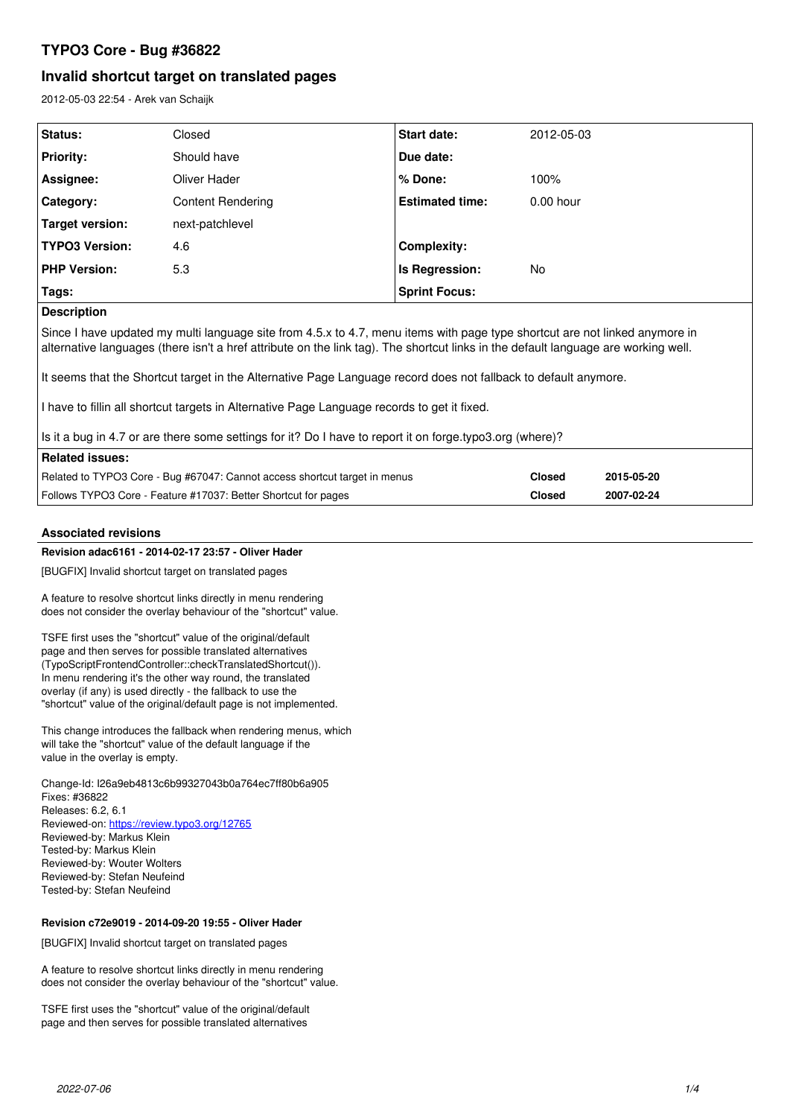# **TYPO3 Core - Bug #36822**

# **Invalid shortcut target on translated pages**

2012-05-03 22:54 - Arek van Schaijk

| Status:                                                                                                                                                                                                                                                           | Closed                   | <b>Start date:</b>     | 2012-05-03  |  |  |
|-------------------------------------------------------------------------------------------------------------------------------------------------------------------------------------------------------------------------------------------------------------------|--------------------------|------------------------|-------------|--|--|
| <b>Priority:</b>                                                                                                                                                                                                                                                  | Should have              | Due date:              |             |  |  |
| Assignee:                                                                                                                                                                                                                                                         | Oliver Hader             | % Done:                | 100%        |  |  |
| Category:                                                                                                                                                                                                                                                         | <b>Content Rendering</b> | <b>Estimated time:</b> | $0.00$ hour |  |  |
| Target version:                                                                                                                                                                                                                                                   | next-patchlevel          |                        |             |  |  |
| <b>TYPO3 Version:</b>                                                                                                                                                                                                                                             | 4.6                      | <b>Complexity:</b>     |             |  |  |
| <b>PHP Version:</b>                                                                                                                                                                                                                                               | 5.3                      | Is Regression:         | No.         |  |  |
| Tags:                                                                                                                                                                                                                                                             |                          | <b>Sprint Focus:</b>   |             |  |  |
| <b>Description</b>                                                                                                                                                                                                                                                |                          |                        |             |  |  |
| Since I have updated my multi language site from 4.5.x to 4.7, menu items with page type shortcut are not linked anymore in<br>alternative languages (there isn't a href attribute on the link tag). The shortcut links in the default language are working well. |                          |                        |             |  |  |
| It seems that the Shortcut target in the Alternative Page Language record does not fallback to default anymore.                                                                                                                                                   |                          |                        |             |  |  |
| I have to fillin all shortcut targets in Alternative Page Language records to get it fixed.                                                                                                                                                                       |                          |                        |             |  |  |

Is it a bug in 4.7 or are there some settings for it? Do I have to report it on forge.typo3.org (where)?

| Related issues: I                                                          |               |            |
|----------------------------------------------------------------------------|---------------|------------|
| Related to TYPO3 Core - Bug #67047: Cannot access shortcut target in menus | Closed        | 2015-05-20 |
| Follows TYPO3 Core - Feature #17037: Better Shortcut for pages             | <b>Closed</b> | 2007-02-24 |

# **Associated revisions**

# **Revision adac6161 - 2014-02-17 23:57 - Oliver Hader**

[BUGFIX] Invalid shortcut target on translated pages

A feature to resolve shortcut links directly in menu rendering does not consider the overlay behaviour of the "shortcut" value.

TSFE first uses the "shortcut" value of the original/default page and then serves for possible translated alternatives (TypoScriptFrontendController::checkTranslatedShortcut()). In menu rendering it's the other way round, the translated overlay (if any) is used directly - the fallback to use the "shortcut" value of the original/default page is not implemented.

This change introduces the fallback when rendering menus, which will take the "shortcut" value of the default language if the value in the overlay is empty.

Change-Id: I26a9eb4813c6b99327043b0a764ec7ff80b6a905 Fixes: #36822 Releases: 6.2, 6.1 Reviewed-on:<https://review.typo3.org/12765> Reviewed-by: Markus Klein Tested-by: Markus Klein Reviewed-by: Wouter Wolters Reviewed-by: Stefan Neufeind Tested-by: Stefan Neufeind

# **Revision c72e9019 - 2014-09-20 19:55 - Oliver Hader**

[BUGFIX] Invalid shortcut target on translated pages

A feature to resolve shortcut links directly in menu rendering does not consider the overlay behaviour of the "shortcut" value.

TSFE first uses the "shortcut" value of the original/default page and then serves for possible translated alternatives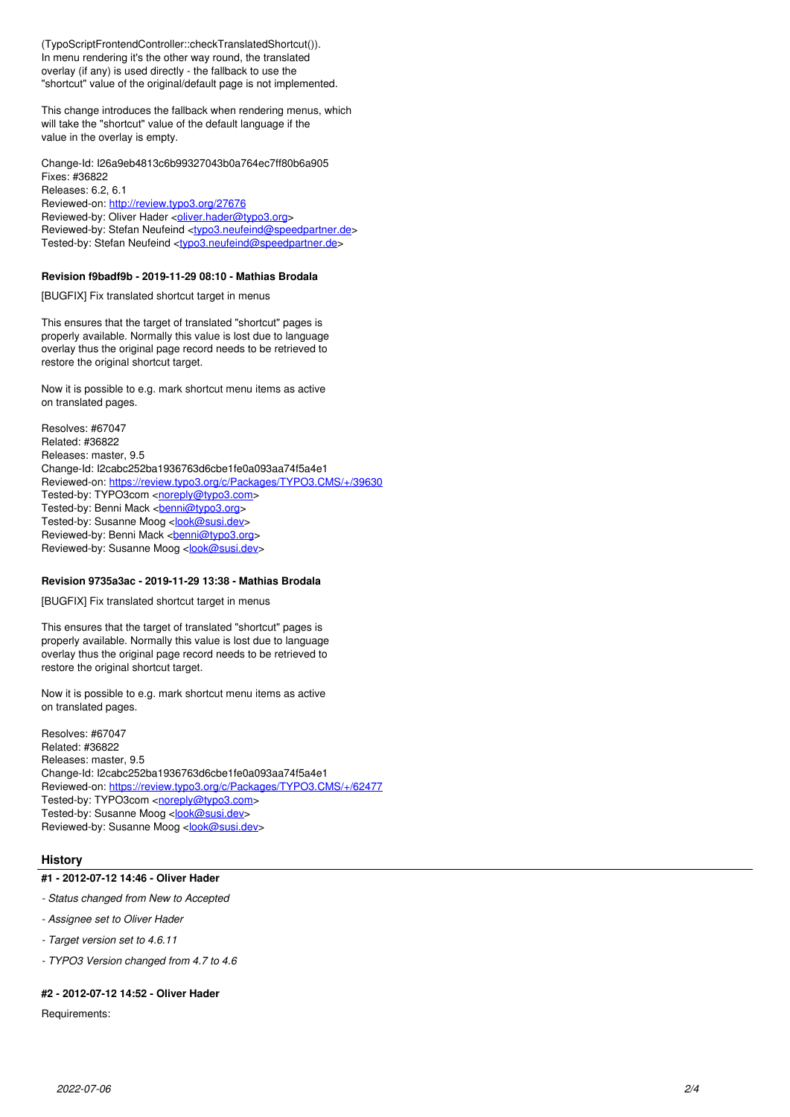(TypoScriptFrontendController::checkTranslatedShortcut()). In menu rendering it's the other way round, the translated overlay (if any) is used directly - the fallback to use the "shortcut" value of the original/default page is not implemented.

This change introduces the fallback when rendering menus, which will take the "shortcut" value of the default language if the value in the overlay is empty.

Change-Id: I26a9eb4813c6b99327043b0a764ec7ff80b6a905 Fixes: #36822 Releases: 6.2, 6.1 Reviewed-on:<http://review.typo3.org/27676> Reviewed-by: Oliver Hader <[oliver.hader@typo3.org>](mailto:oliver.hader@typo3.org) Reviewed-by: Stefan Neufeind [<typo3.neufeind@speedpartner.de>](mailto:typo3.neufeind@speedpartner.de) Tested-by: Stefan Neufeind [<typo3.neufeind@speedpartner.de](mailto:typo3.neufeind@speedpartner.de)>

### **Revision f9badf9b - 2019-11-29 08:10 - Mathias Brodala**

[BUGFIX] Fix translated shortcut target in menus

This ensures that the target of translated "shortcut" pages is properly available. Normally this value is lost due to language overlay thus the original page record needs to be retrieved to restore the original shortcut target.

Now it is possible to e.g. mark shortcut menu items as active on translated pages.

Resolves: #67047 Related: #36822 Releases: master, 9.5 Change-Id: I2cabc252ba1936763d6cbe1fe0a093aa74f5a4e1 Reviewed-on:<https://review.typo3.org/c/Packages/TYPO3.CMS/+/39630> Tested-by: TYPO3com [<noreply@typo3.com>](mailto:noreply@typo3.com) Tested-by: Benni Mack <[benni@typo3.org>](mailto:benni@typo3.org) Tested-by: Susanne Moog <[look@susi.dev](mailto:look@susi.dev)> Reviewed-by: Benni Mack <br/> <br/>penni@typo3.org> Reviewed-by: Susanne Moog <[look@susi.dev>](mailto:look@susi.dev)

#### **Revision 9735a3ac - 2019-11-29 13:38 - Mathias Brodala**

[BUGFIX] Fix translated shortcut target in menus

This ensures that the target of translated "shortcut" pages is properly available. Normally this value is lost due to language overlay thus the original page record needs to be retrieved to restore the original shortcut target.

Now it is possible to e.g. mark shortcut menu items as active on translated pages.

Resolves: #67047 Related: #36822 Releases: master, 9.5 Change-Id: I2cabc252ba1936763d6cbe1fe0a093aa74f5a4e1 Reviewed-on:<https://review.typo3.org/c/Packages/TYPO3.CMS/+/62477> Tested-by: TYPO3com [<noreply@typo3.com>](mailto:noreply@typo3.com) Tested-by: Susanne Moog <[look@susi.dev](mailto:look@susi.dev)> Reviewed-by: Susanne Moog <[look@susi.dev>](mailto:look@susi.dev)

#### **History**

#### **#1 - 2012-07-12 14:46 - Oliver Hader**

- *Status changed from New to Accepted*
- *Assignee set to Oliver Hader*
- *Target version set to 4.6.11*
- *TYPO3 Version changed from 4.7 to 4.6*

# **#2 - 2012-07-12 14:52 - Oliver Hader**

Requirements: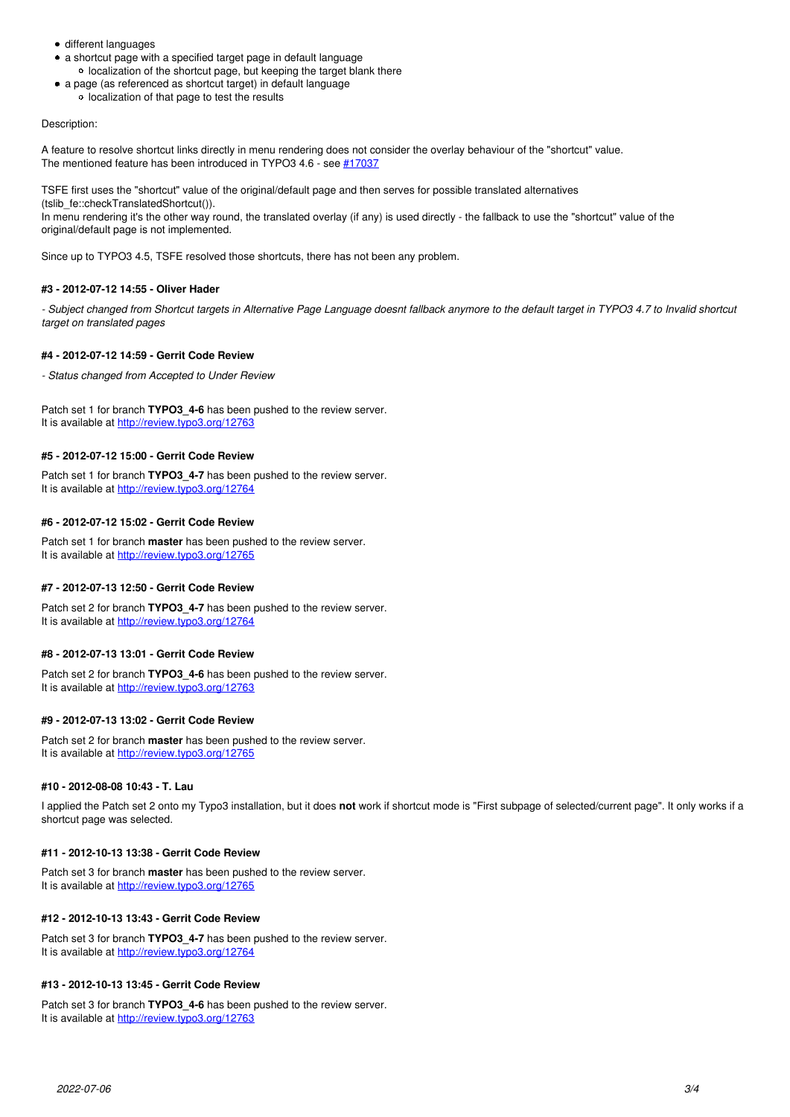- different languages
- a shortcut page with a specified target page in default language o localization of the shortcut page, but keeping the target blank there
- a page (as referenced as shortcut target) in default language
	- o localization of that page to test the results

# Description:

A feature to resolve shortcut links directly in menu rendering does not consider the overlay behaviour of the "shortcut" value. The mentioned feature has been introduced in TYPO3 4.6 - see [#17037](https://forge.typo3.org/issues/17037)

TSFE first uses the "shortcut" value of the original/default page and then serves for possible translated alternatives (tslib\_fe::checkTranslatedShortcut()).

In menu rendering it's the other way round, the translated overlay (if any) is used directly - the fallback to use the "shortcut" value of the original/default page is not implemented.

Since up to TYPO3 4.5, TSFE resolved those shortcuts, there has not been any problem.

# **#3 - 2012-07-12 14:55 - Oliver Hader**

*- Subject changed from Shortcut targets in Alternative Page Language doesnt fallback anymore to the default target in TYPO3 4.7 to Invalid shortcut target on translated pages*

### **#4 - 2012-07-12 14:59 - Gerrit Code Review**

*- Status changed from Accepted to Under Review*

Patch set 1 for branch **TYPO3\_4-6** has been pushed to the review server. It is available at <http://review.typo3.org/12763>

### **#5 - 2012-07-12 15:00 - Gerrit Code Review**

Patch set 1 for branch **TYPO3\_4-7** has been pushed to the review server. It is available at <http://review.typo3.org/12764>

### **#6 - 2012-07-12 15:02 - Gerrit Code Review**

Patch set 1 for branch **master** has been pushed to the review server. It is available at <http://review.typo3.org/12765>

#### **#7 - 2012-07-13 12:50 - Gerrit Code Review**

Patch set 2 for branch **TYPO3\_4-7** has been pushed to the review server. It is available at <http://review.typo3.org/12764>

# **#8 - 2012-07-13 13:01 - Gerrit Code Review**

Patch set 2 for branch **TYPO3** 4-6 has been pushed to the review server. It is available at <http://review.typo3.org/12763>

# **#9 - 2012-07-13 13:02 - Gerrit Code Review**

Patch set 2 for branch **master** has been pushed to the review server. It is available at <http://review.typo3.org/12765>

### **#10 - 2012-08-08 10:43 - T. Lau**

I applied the Patch set 2 onto my Typo3 installation, but it does **not** work if shortcut mode is "First subpage of selected/current page". It only works if a shortcut page was selected.

#### **#11 - 2012-10-13 13:38 - Gerrit Code Review**

Patch set 3 for branch **master** has been pushed to the review server. It is available at <http://review.typo3.org/12765>

# **#12 - 2012-10-13 13:43 - Gerrit Code Review**

Patch set 3 for branch **TYPO3\_4-7** has been pushed to the review server. It is available at <http://review.typo3.org/12764>

### **#13 - 2012-10-13 13:45 - Gerrit Code Review**

Patch set 3 for branch **TYPO3\_4-6** has been pushed to the review server. It is available at <http://review.typo3.org/12763>